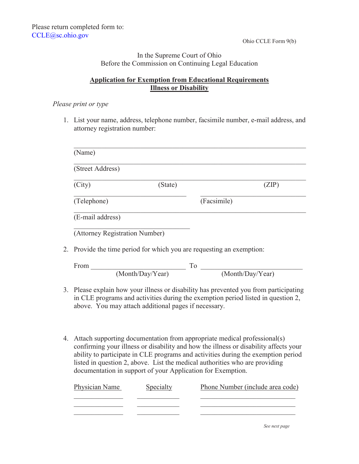## In the Supreme Court of Ohio Before the Commission on Continuing Legal Education

## **Application for Exemption from Educational Requirements Illness or Disability**

#### *Please print or type*

1. List your name, address, telephone number, facsimile number, e-mail address, and attorney registration number:

| (Street Address)               |                                                                       |                                |
|--------------------------------|-----------------------------------------------------------------------|--------------------------------|
| (City)                         | (State)                                                               | (ZIP)                          |
| (Telephone)                    |                                                                       | (Facsimile)                    |
| (E-mail address)               |                                                                       |                                |
| (Attorney Registration Number) |                                                                       |                                |
|                                | 2. Provide the time period for which you are requesting an exemption: |                                |
|                                |                                                                       |                                |
| From                           | To                                                                    |                                |
|                                | (Month/Day/Year)                                                      | $\overline{(MonthlyDay/Year)}$ |

4. Attach supporting documentation from appropriate medical professional(s) confirming your illness or disability and how the illness or disability affects your ability to participate in CLE programs and activities during the exemption period listed in question 2, above. List the medical authorities who are providing documentation in support of your Application for Exemption.

| Physician Name | Specialty | Phone Number (include area code) |
|----------------|-----------|----------------------------------|
|                |           |                                  |
|                |           |                                  |
|                |           |                                  |